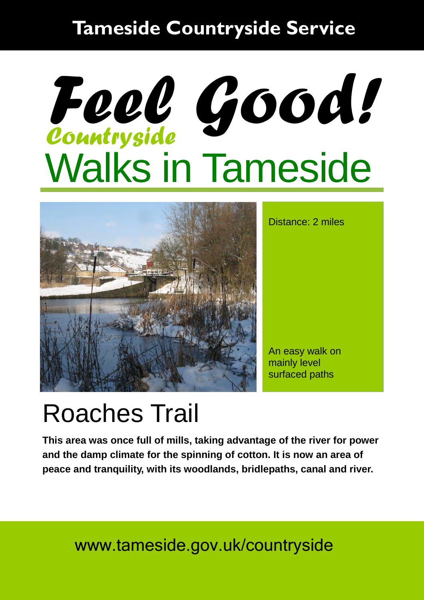### **Tameside Countryside Service**

# Walks in Tameside *Countryside Feel Good!*



Distance: 2 miles

An easy walk on mainly level surfaced paths

## Roaches Trail

**This area was once full of mills, taking advantage of the river for power and the damp climate for the spinning of cotton. It is now an area of peace and tranquility, with its woodlands, bridlepaths, canal and river.** 

### www.tameside.gov.uk/countryside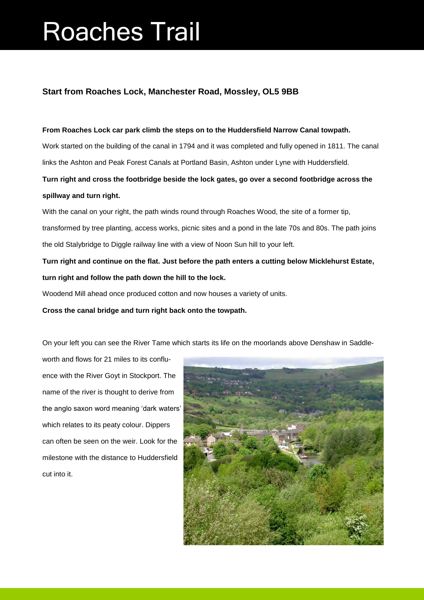## Roaches Trail

#### **Start from Roaches Lock, Manchester Road, Mossley, OL5 9BB**

#### **From Roaches Lock car park climb the steps on to the Huddersfield Narrow Canal towpath.**

Work started on the building of the canal in 1794 and it was completed and fully opened in 1811. The canal links the Ashton and Peak Forest Canals at Portland Basin, Ashton under Lyne with Huddersfield.

**Turn right and cross the footbridge beside the lock gates, go over a second footbridge across the spillway and turn right.** 

With the canal on your right, the path winds round through Roaches Wood, the site of a former tip, transformed by tree planting, access works, picnic sites and a pond in the late 70s and 80s. The path joins the old Stalybridge to Diggle railway line with a view of Noon Sun hill to your left.

**Turn right and continue on the flat. Just before the path enters a cutting below Micklehurst Estate, turn right and follow the path down the hill to the lock.**

Woodend Mill ahead once produced cotton and now houses a variety of units.

**Cross the canal bridge and turn right back onto the towpath.**

On your left you can see the River Tame which starts its life on the moorlands above Denshaw in Saddle-

worth and flows for 21 miles to its confluence with the River Goyt in Stockport. The name of the river is thought to derive from the anglo saxon word meaning 'dark waters' which relates to its peaty colour. Dippers can often be seen on the weir. Look for the milestone with the distance to Huddersfield cut into it.